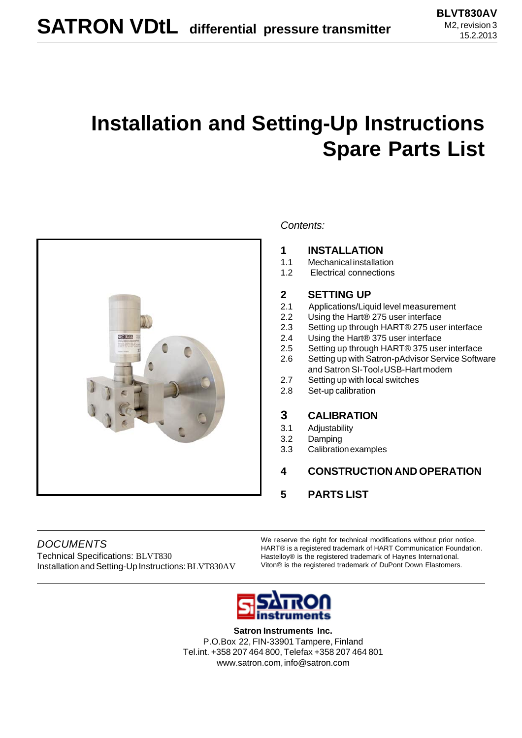# **Installation and Setting-Up Instructions Spare Parts List**



#### *Contents:*

#### **1 INSTALLATION**

- 1.1 Mechanical installation
- 1.2 Electrical connections

#### **2 SETTING UP**

- 2.1 Applications/Liquid level measurement
- 2.2 Using the Hart® 275 user interface
- 2.3 Setting up through HART® 275 user interface
- 2.4 Using the Hart® 375 user interface
- 2.5 Setting up through HART® 375 user interface
- 2.6 Setting up with Satron-pAdvisor Service Software and Satron SI-Tool*e* USB-Hart modem
- 2.7 Setting up with local switches
- 2.8 Set-up calibration

#### **3 CALIBRATION**

- 3.1 Adjustability
- 3.2 Damping
- 3.3 Calibration examples
- **4 CONSTRUCTION AND OPERATION**
- **5 PARTS LIST**

*DOCUMENTS* Technical Specifications: BLVT830 Installation and Setting-Up Instructions: BLVT830AV We reserve the right for technical modifications without prior notice. HART® is a registered trademark of HART Communication Foundation. Hastelloy® is the registered trademark of Haynes International. Viton® is the registered trademark of DuPont Down Elastomers.



**Satron Instruments Inc.** P.O.Box 22, FIN-33901 Tampere, Finland Tel.int. +358 207 464 800, Telefax +358 207 464 801 www.satron.com, info@satron.com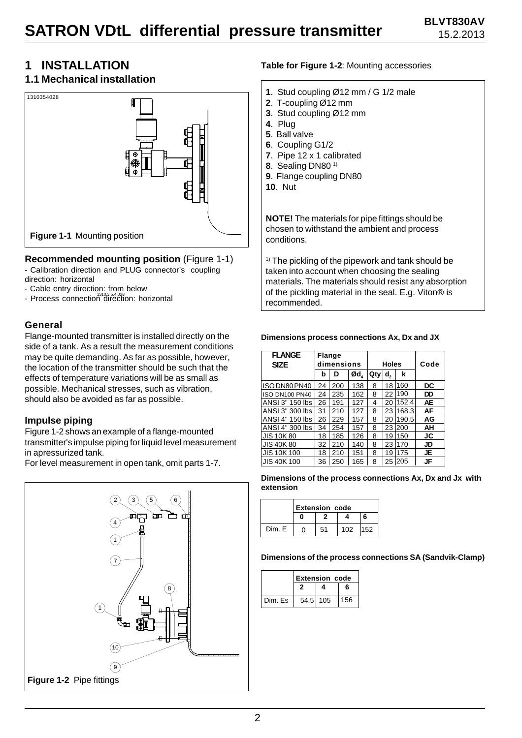### **1 INSTALLATION**

#### **1.1 Mechanical installation**



#### **Recommended mounting position** (Figure 1-1)

- Calibration direction and PLUG connector's coupling direction: horizontal

- Cable entry direction: from below
- Process connection direction: horizontal

#### **General**

Flange-mounted transmitter is installed directly on the side of a tank. As a result the measurement conditions may be quite demanding. As far as possible, however, the location of the transmitter should be such that the effects of temperature variations will be as small as possible. Mechanical stresses, such as vibration, should also be avoided as far as possible.

#### **Impulse piping**

Figure 1-2 shows an example of a flange-mounted transmitter's impulse piping for liquid level measurement in apressurized tank.

For level measurement in open tank, omit parts 1-7.



#### **Table for Figure 1-2**: Mounting accessories

- **1**. Stud coupling Ø12 mm / G 1/2 male
- **2**. T-coupling Ø12 mm
- **3**. Stud coupling Ø12 mm
- **4**. Plug
- **5**. Ball valve
- **6**. Coupling G1/2
- **7**. Pipe 12 x 1 calibrated
- **8**. Sealing DN80 1)
- **9**. Flange coupling DN80
- **10**. Nut

**NOTE!** The materials for pipe fittings should be chosen to withstand the ambient and process conditions.

 $1)$  The pickling of the pipework and tank should be taken into account when choosing the sealing materials. The materials should resist any absorption of the pickling material in the seal. E.g. Viton® is recommended.

#### **Dimensions process connections Ax, Dx and JX**

| <b>FLANGE</b><br><b>SIZE</b> | <b>Flange</b><br>dimensions |     |     | <b>Holes</b> |                |       | Code |
|------------------------------|-----------------------------|-----|-----|--------------|----------------|-------|------|
|                              | b                           | D   | Ød, | Qty          | d <sub>2</sub> | k     |      |
| ISO DN80 PN40                | 24                          | 200 | 138 | 8            | 18             | 160   | DC   |
| <b>ISO DN100 PN40</b>        | 24                          | 235 | 162 | 8            | 22             | 190   | DD   |
| ANSI 3" 150 lbs              | 26                          | 191 | 127 | 4            | 20             | 152.4 | AE   |
| ANSI 3" 300 lbs              | 31                          | 210 | 127 | 8            | 23             | 168.3 | AF   |
| ANSI 4" 150 lbs              | 26                          | 229 | 157 | 8            | 20             | 190.5 | AG   |
| ANSI 4" 300 lbs              | 34                          | 254 | 157 | 8            | 23             | 200   | ΑН   |
| <b>JIS 10K80</b>             | 18                          | 185 | 126 | 8            | 19             | 150   | JC   |
| <b>JIS 40K 80</b>            | 32                          | 210 | 140 | 8            | 23             | 170   | JD   |
| <b>JIS 10K 100</b>           | 18                          | 210 | 151 | 8            | 19             | 175   | JE   |
| <b>JIS 40K 100</b>           | 36                          | 250 | 165 | 8            | 25             | 205   | JF   |

**Dimensions of the process connections Ax, Dx and Jx with extension**

|        | <b>Extension code</b> |    |     |     |
|--------|-----------------------|----|-----|-----|
|        |                       |    |     | 6   |
| Dim. E |                       | 51 | 102 | 152 |

**Dimensions of the process connections SA (Sandvik-Clamp)**

|  |         | <b>Extension code</b> |  |     |
|--|---------|-----------------------|--|-----|
|  |         |                       |  | 6   |
|  | Dim. Es | $54.5$ 105            |  | 156 |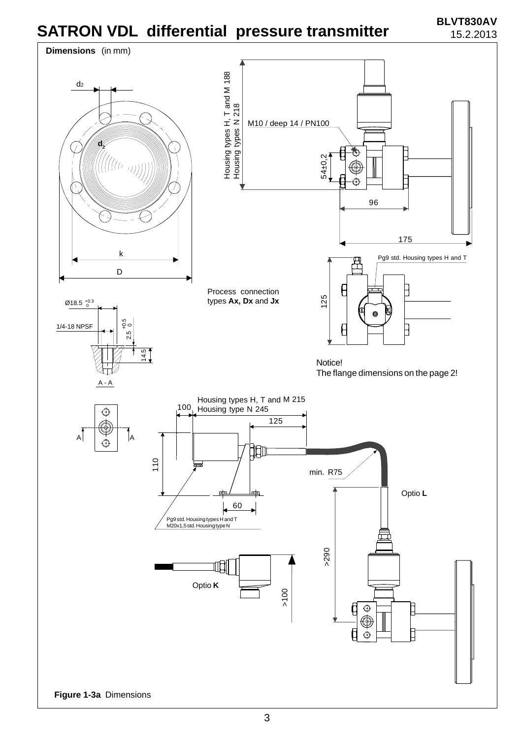

3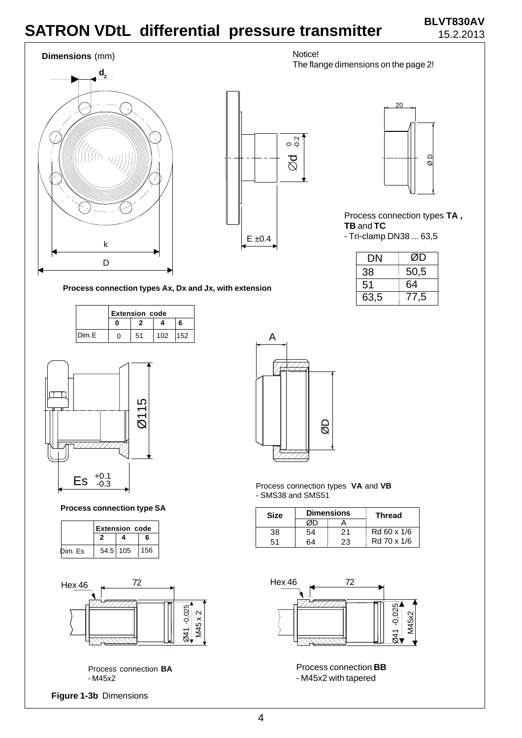# **SATRON VDtL differential pressure transmitter BLVT830AV**

# 15.2.2013





Process connection types **TA , TB** and **TC** - Tri-clamp DN38 ... 63,5

| DN   | ØD   |
|------|------|
| 38   | 50,5 |
| 51   | 64   |
| 63,5 | 77,5 |

**Process connection types Ax, Dx and Jx, with extension**

|       | <b>Extension code</b> |    |         |   |  |
|-------|-----------------------|----|---------|---|--|
|       |                       |    |         | ี |  |
| Dim.E | 0                     | 51 | 102 152 |   |  |



**Process connection type SA**

|         | <b>Extension code</b> |          |     |
|---------|-----------------------|----------|-----|
|         |                       |          | 6   |
| Dim. Es |                       | 54.5 105 | 156 |



Process connection **BA** - M45x2

**Figure 1-3b** Dimensions



Process connection types **VA** and **VB** - SMS38 and SMS51

| <b>Size</b> |    | <b>Dimensions</b> | <b>Thread</b> |  |
|-------------|----|-------------------|---------------|--|
|             |    |                   |               |  |
| 38          | 54 | 21                | Rd 60 x 1/6   |  |
| 51          | ۲4 | 23                | Rd 70 x 1/6   |  |



Process connection **BB** - M45x2 with tapered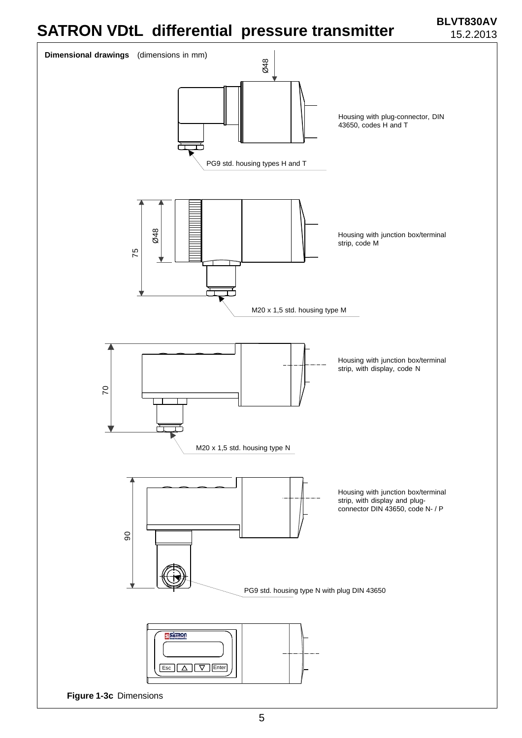# **SATRON VDtL differential pressure transmitter BLVT830AV**

15.2.2013

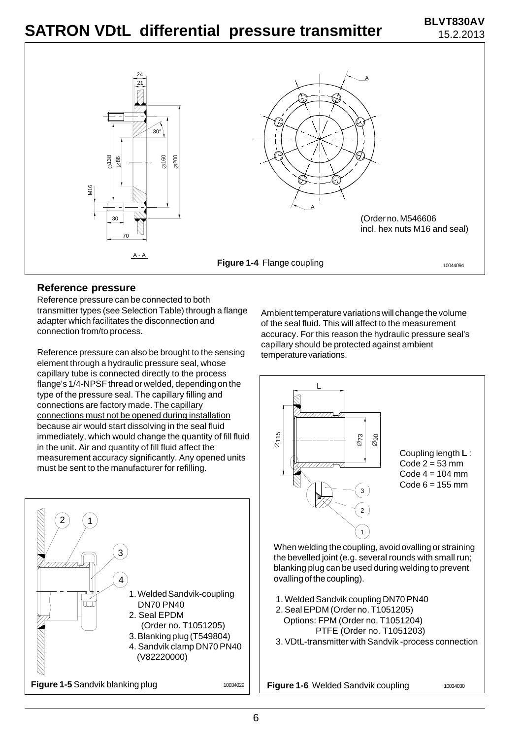

#### **Reference pressure**

Reference pressure can be connected to both transmitter types (see Selection Table) through a flange adapter which facilitates the disconnection and connection from/to process.

Reference pressure can also be brought to the sensing element through a hydraulic pressure seal, whose capillary tube is connected directly to the process flange's 1/4-NPSF thread or welded, depending on the type of the pressure seal. The capillary filling and connections are factory made. The capillary connections must not be opened during installation because air would start dissolving in the seal fluid immediately, which would change the quantity of fill fluid in the unit. Air and quantity of fill fluid affect the measurement accuracy significantly. Any opened units must be sent to the manufacturer for refilling.



Ambient temperature variations will change the volume of the seal fluid. This will affect to the measurement accuracy. For this reason the hydraulic pressure seal's capillary should be protected against ambient temperature variations.



1. Welded Sandvik coupling DN70 PN40

ovalling of the coupling).

- 2. Seal EPDM (Order no. T1051205) Options: FPM (Order no. T1051204) PTFE (Order no. T1051203)
- 3. VDtL-transmitter with Sandvik -process connection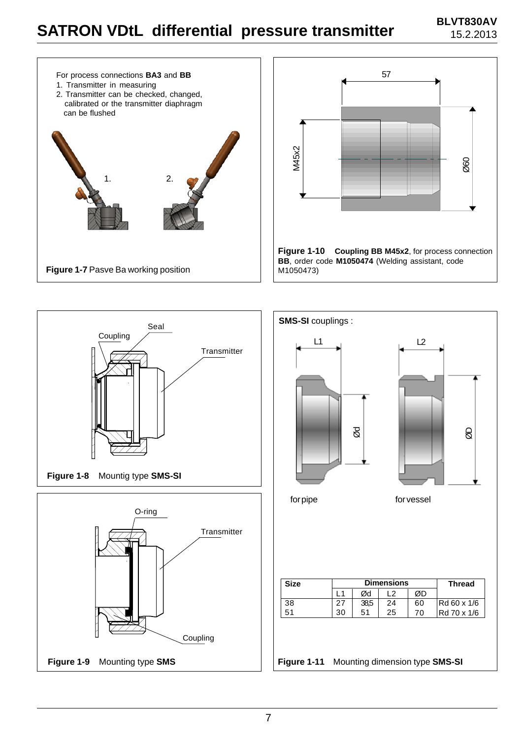# **BLVT830AV SATRON VDtL differential pressure transmitter BLVT830AV**







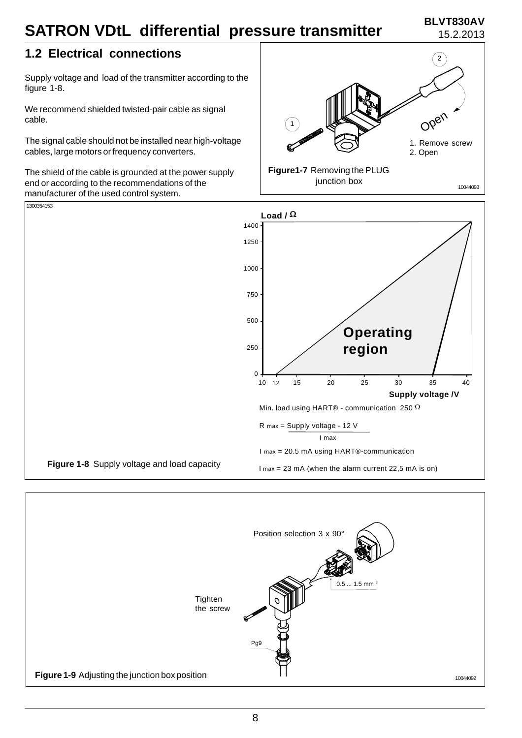#### **BLVT830AV** 15.2.2013

### **1.2 Electrical connections**

Supply voltage and load of the transmitter according to the figure 1-8.

We recommend shielded twisted-pair cable as signal cable.

The signal cable should not be installed near high-voltage cables, large motors or frequency converters.

The shield of the cable is grounded at the power supply end or according to the recommendations of the manufacturer of the used control system.





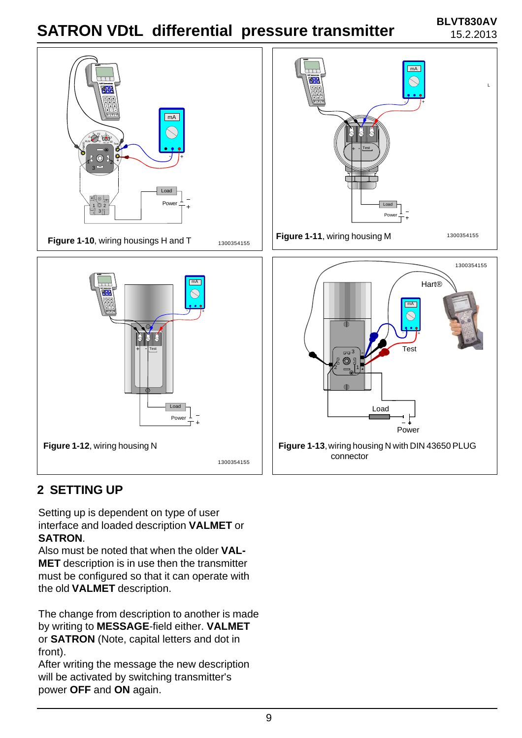#### **BLVT830AV** 15.2.2013



### **2 SETTING UP**

Setting up is dependent on type of user interface and loaded description **VALMET** or **SATRON**.

Also must be noted that when the older **VAL-MET** description is in use then the transmitter must be configured so that it can operate with the old **VALMET** description.

The change from description to another is made by writing to **MESSAGE**-field either. **VALMET** or **SATRON** (Note, capital letters and dot in front).

After writing the message the new description will be activated by switching transmitter's power **OFF** and **ON** again.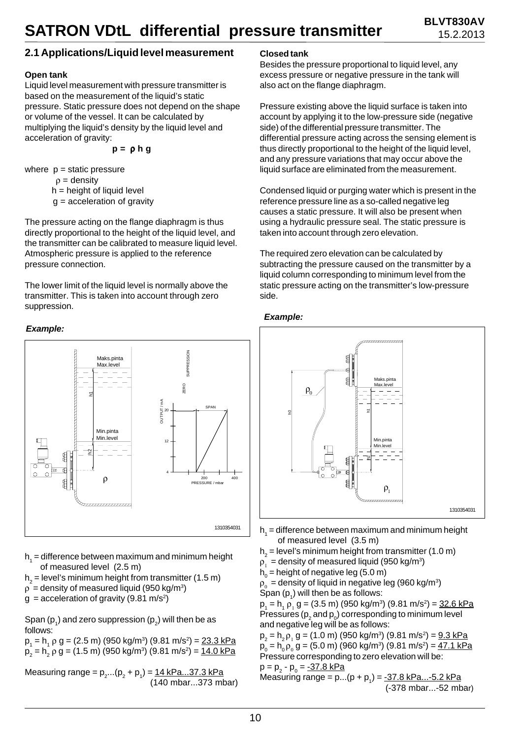#### **2.1 Applications/Liquid level measurement**

#### **Open tank**

Liquid level measurement with pressure transmitter is based on the measurement of the liquid's static pressure. Static pressure does not depend on the shape or volume of the vessel. It can be calculated by multiplying the liquid's density by the liquid level and acceleration of gravity:

$$
p = \rho h g
$$

where  $p =$  static pressure

 $\rho =$  density

h = height of liquid level

 $g =$  acceleration of gravity

The pressure acting on the flange diaphragm is thus directly proportional to the height of the liquid level, and the transmitter can be calibrated to measure liquid level. Atmospheric pressure is applied to the reference pressure connection.

The lower limit of the liquid level is normally above the transmitter. This is taken into account through zero suppression.

#### *Example:*



- $\mathsf{h}_{\scriptscriptstyle{1}}$  = difference between maximum and minimum height of measured level (2.5 m)
- h<sub>2</sub> = level's minimum height from transmitter (1.5 m)
- $p =$  density of measured liquid (950 kg/m<sup>3</sup>)
- $g =$  acceleration of gravity (9.81 m/s<sup>2</sup>)

Span (p $_{\rm 1}$ ) and zero suppression (p $_{\rm 2}$ ) will then be as follows:

p<sub>1</sub> = h<sub>1</sub> ρ g = (2.5 m) (950 kg/m<sup>3</sup>) (9.81 m/s<sup>2</sup>) = <u>23.3 kPa</u> p<sub>2</sub> = h<sub>2</sub> ρ g = (1.5 m) (950 kg/m<sup>3</sup>) (9.81 m/s<sup>2</sup>) = <u>14.0 kPa</u>

Measuring range = p $_{2}^{\text{}}...(\textsf{p}_{_{2}}$  + p $_{1})$  = <u>14 kPa...37.3 kPa</u> (140 mbar...373 mbar)

#### **Closed tank**

Besides the pressure proportional to liquid level, any excess pressure or negative pressure in the tank will also act on the flange diaphragm.

Pressure existing above the liquid surface is taken into account by applying it to the low-pressure side (negative side) of the differential pressure transmitter. The differential pressure acting across the sensing element is thus directly proportional to the height of the liquid level, and any pressure variations that may occur above the liquid surface are eliminated from the measurement.

Condensed liquid or purging water which is present in the reference pressure line as a so-called negative leg causes a static pressure. It will also be present when using a hydraulic pressure seal. The static pressure is taken into account through zero elevation.

The required zero elevation can be calculated by subtracting the pressure caused on the transmitter by a liquid column corresponding to minimum level from the static pressure acting on the transmitter's low-pressure side.

#### *Example:*



- $\mathsf{h}_{\scriptscriptstyle{1}}^{}$  = difference between maximum and minimum height of measured level (3.5 m)
- ${\sf h}_{_2}$  = level's minimum height from transmitter (1.0 m)
- $\rho_{_1}$  = density of measured liquid (950 kg/m $^3)$
- $h_{\rm 0}$  = height of negative leg (5.0 m)
- $\rho_{_0}$  = density of liquid in negative leg (960 kg/m $^3)$ Span  $(p_1)$  will then be as follows:

 $p_1 = h_1 p_1 g = (3.5 \text{ m}) (950 \text{ kg/m}^3) (9.81 \text{ m/s}^2) = 32.6 \text{ kPa}$ Pressures ( ${\sf p}_{\scriptscriptstyle 2}$  and  ${\sf p}_{\scriptscriptstyle 0}$ ) corresponding to minimum level and negative leg will be as follows:

 $p_2 = h_2 p_1 g = (1.0 \text{ m}) (950 \text{ kg/m}^3) (9.81 \text{ m/s}^2) = 9.3 \text{ kPa}$  $p_{0} = h_{0} p_{0} g = (5.0 \text{ m}) (960 \text{ kg/m}^{3}) (9.81 \text{ m/s}^{2}) = 47.1 \text{ kPa}$ Pressure corresponding to zero elevation will be:

p = p<sub>2</sub> - p<sub>0</sub> = <u>-37.8 kPa</u> Measuring range =  $p...(p + p_1) = -37.8 \text{ kPa}...-5.2 \text{ kPa}$ (-378 mbar...-52 mbar)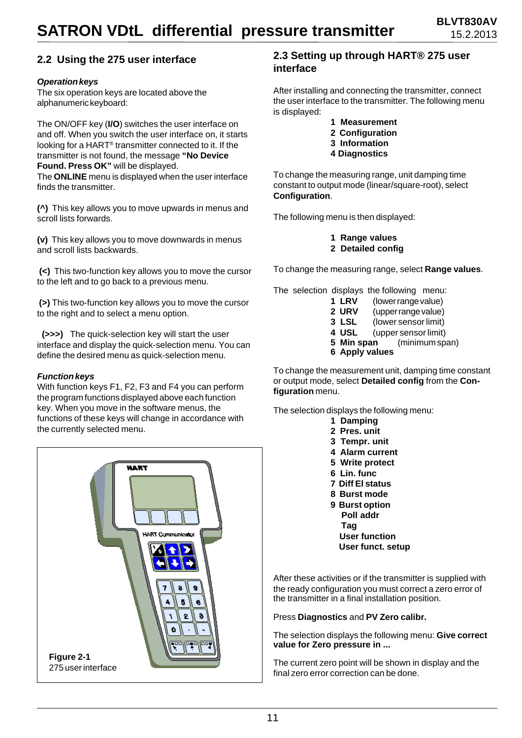#### **2.2 Using the 275 user interface**

#### *Operation keys*

The six operation keys are located above the alphanumeric keyboard:

The ON/OFF key (**I/O**) switches the user interface on and off. When you switch the user interface on, it starts looking for a HART® transmitter connected to it. If the transmitter is not found, the message **"No Device Found. Press OK"** will be displayed. The **ONLINE** menu is displayed when the user interface

finds the transmitter.

**(^)** This key allows you to move upwards in menus and scroll lists forwards.

**(v)** This key allows you to move downwards in menus and scroll lists backwards.

**(<)** This two-function key allows you to move the cursor to the left and to go back to a previous menu.

**(>)** This two-function key allows you to move the cursor to the right and to select a menu option.

 **(>>>)** The quick-selection key will start the user interface and display the quick-selection menu. You can define the desired menu as quick-selection menu.

#### *Function keys*

With function keys F1, F2, F3 and F4 you can perform the program functions displayed above each function key. When you move in the software menus, the functions of these keys will change in accordance with the currently selected menu.



#### **2.3 Setting up through HART® 275 user interface**

After installing and connecting the transmitter, connect the user interface to the transmitter. The following menu is displayed:

- **1 Measurement**
- **2 Configuration**
- **3 Information**
- **4 Diagnostics**

To change the measuring range, unit damping time constant to output mode (linear/square-root), select **Configuration**.

The following menu is then displayed:

**1 Range values 2 Detailed config**

To change the measuring range, select **Range values**.

The selection displays the following menu:

| 6 Apply values |                      |
|----------------|----------------------|
| 5 Min span     | (minimum span)       |
| 4 USL          | (upper sensor limit) |
| 3 LSL          | (lower sensor limit) |
| 2 URV          | (upper range value)  |
| <b>1 LRV</b>   | (lower range value)  |

To change the measurement unit, damping time constant or output mode, select **Detailed config** from the **Configuration** menu.

The selection displays the following menu: **1 Damping**

> **2 Pres. unit 3 Tempr. unit 4 Alarm current 5 Write protect 6 Lin. func 7 Diff El status 8 Burst mode 9 Burst option Poll addr Tag User function**

 **User funct. setup**

After these activities or if the transmitter is supplied with the ready configuration you must correct a zero error of the transmitter in a final installation position.

Press **Diagnostics** and **PV Zero calibr.**

The selection displays the following menu: **Give correct value for Zero pressure in ...**

The current zero point will be shown in display and the final zero error correction can be done.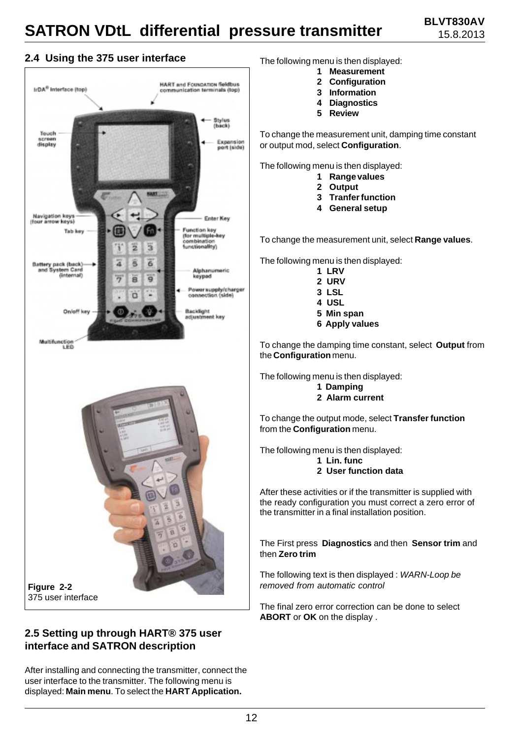#### **2.4 Using the 375 user interface** The following menu is then displayed:



#### **2.5 Setting up through HART® 375 user interface and SATRON description**

After installing and connecting the transmitter, connect the user interface to the transmitter. The following menu is displayed: **Main menu**. To select the **HART Application.**

- **1 Measurement**
- **2 Configuration**
- **3 Information**
- **4 Diagnostics**
- **5 Review**

To change the measurement unit, damping time constant or output mod, select **Configuration**.

The following menu is then displayed:

- **1 Range values**
- **2 Output**
- **3 Tranfer function**
- **4 General setup**

To change the measurement unit, select **Range values**.

The following menu is then displayed:

- **1 LRV**
	- **2 URV**
	- **3 LSL**
	- **4 USL**
	- **5 Min span**
	- **6 Apply values**

To change the damping time constant, select **Output** from the **Configuration** menu.

The following menu is then displayed:

#### **1 Damping**

**2 Alarm current**

To change the output mode, select **Transfer function** from the **Configuration** menu.

The following menu is then displayed:

- **1 Lin. func**
- **2 User function data**

After these activities or if the transmitter is supplied with the ready configuration you must correct a zero error of the transmitter in a final installation position.

The First press **Diagnostics** and then **Sensor trim** and then **Zero trim**

The following text is then displayed : *WARN-Loop be removed from automatic control*

The final zero error correction can be done to select **ABORT** or **OK** on the display .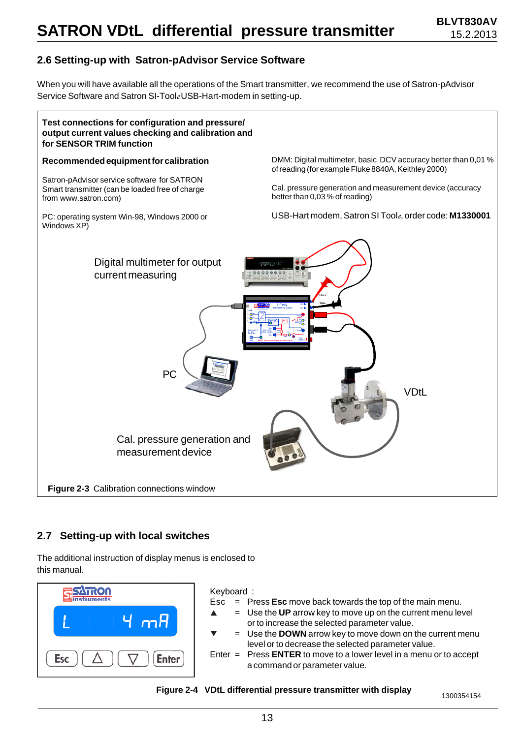**BLVT830AV** 15.2.2013

#### **2.6 Setting-up with Satron-pAdvisor Service Software**

When you will have available all the operations of the Smart transmitter, we recommend the use of Satron-pAdvisor Service Software and Satron SI-Tool*e* USB-Hart-modem in setting-up.



#### **2.7 Setting-up with local switches**

The additional instruction of display menus is enclosed to this manual.



#### Keyboard :

- Esc = Press **Esc** move back towards the top of the main menu.
	- = Use the **UP** arrow key to move up on the current menu level or to increase the selected parameter value.
	- = Use the **DOWN** arrow key to move down on the current menu level or to decrease the selected parameter value.
- Enter = Press **ENTER** to move to a lower level in a menu or to accept a command or parameter value.

**Figure 2-4 VDtL differential pressure transmitter with display** 1300354154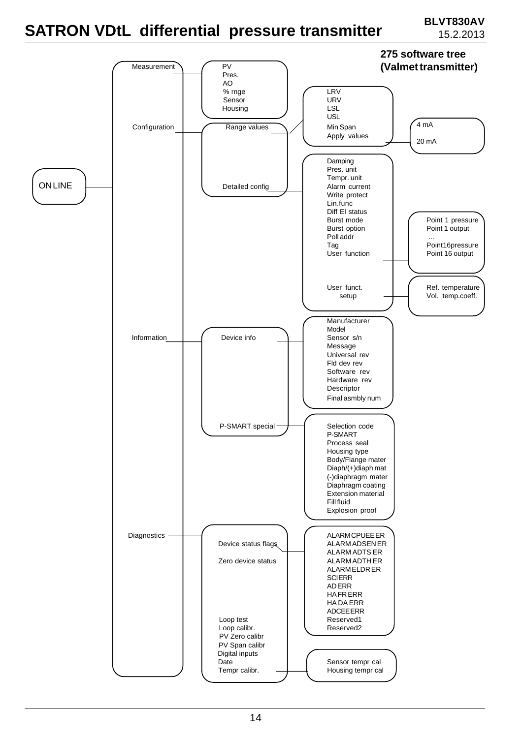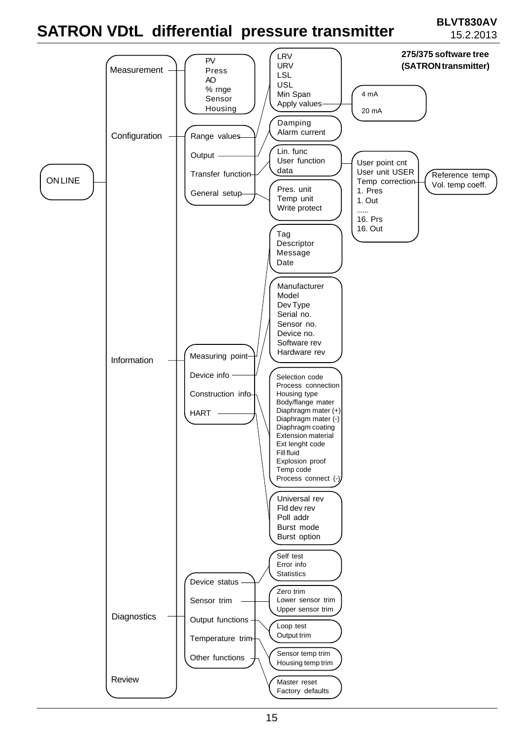# **SATRON VDtL differential pressure transmitter BLVT830AV**

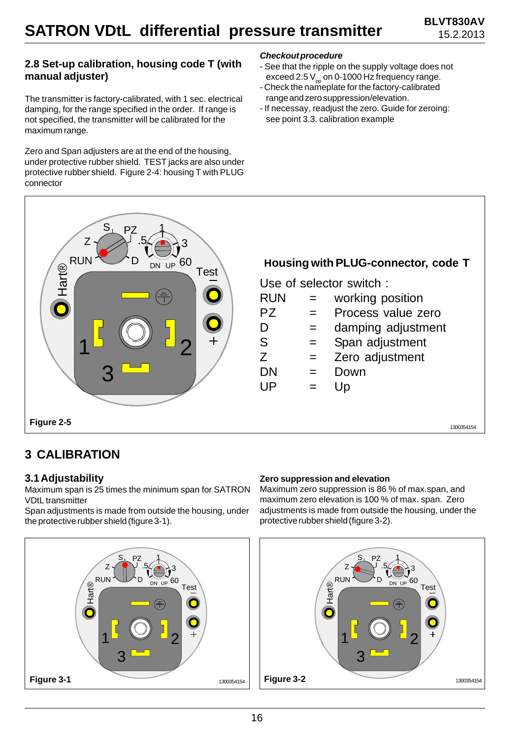#### **2.8 Set-up calibration, housing code T (with manual adjuster)**

The transmitter is factory-calibrated, with 1 sec. electrical damping, for the range specified in the order. If range is not specified, the transmitter will be calibrated for the maximum range.

Zero and Span adjusters are at the end of the housing, under protective rubber shield. TEST jacks are also under protective rubber shield. Figure 2-4: housing T with PLUG connector

#### *Checkout procedure*

- See that the ripple on the supply voltage does not exceed 2.5  $V_{\text{pp}}$  on 0-1000 Hz frequency range.
- Check the nameplate for the factory-calibrated range and zero suppression/elevation.
- If necessay, readjust the zero. Guide for zeroing: see point 3.3. calibration example



### **3 CALIBRATION**

#### **3.1 Adjustability**

Maximum span is 25 times the minimum span for SATRON VDtL transmitter

Span adjustments is made from outside the housing, under the protective rubber shield (figure 3-1).



#### **Zero suppression and elevation**

Maximum zero suppression is 86 % of max.span, and maximum zero elevation is 100 % of max. span. Zero adjustments is made from outside the housing, under the protective rubber shield (figure 3-2).

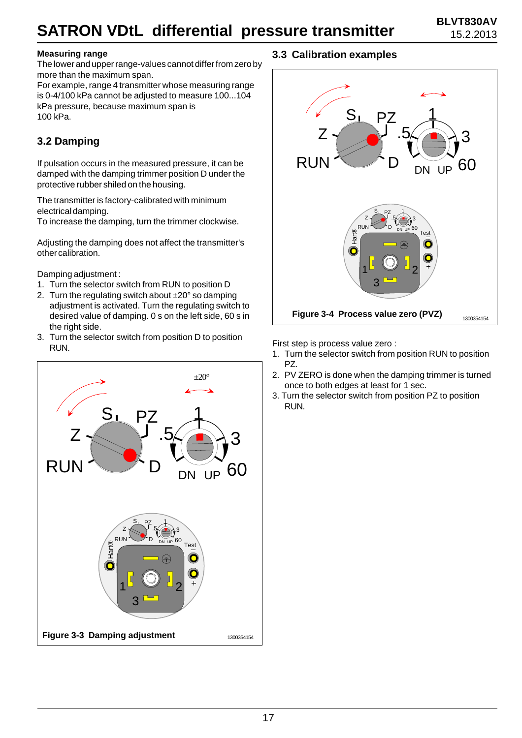#### **Measuring range**

The lower and upper range-values cannot differ from zero by more than the maximum span.

For example, range 4 transmitter whose measuring range is 0-4/100 kPa cannot be adjusted to measure 100...104 kPa pressure, because maximum span is 100 kPa.

### **3.2 Damping**

If pulsation occurs in the measured pressure, it can be damped with the damping trimmer position D under the protective rubber shiled on the housing.

The transmitter is factory-calibrated with minimum electrical damping.

To increase the damping, turn the trimmer clockwise.

Adjusting the damping does not affect the transmitter's other calibration.

Damping adjustment :

- 1. Turn the selector switch from RUN to position D
- 2. Turn the regulating switch about ±20° so damping adjustment is activated. Turn the regulating switch to desired value of damping. 0 s on the left side, 60 s in the right side.
- 3. Turn the selector switch from position D to position RUN.



### **3.3 Calibration examples**



First step is process value zero :

- 1. Turn the selector switch from position RUN to position PZ.
- 2. PV ZERO is done when the damping trimmer is turned once to both edges at least for 1 sec.
- 3. Turn the selector switch from position PZ to position RUN.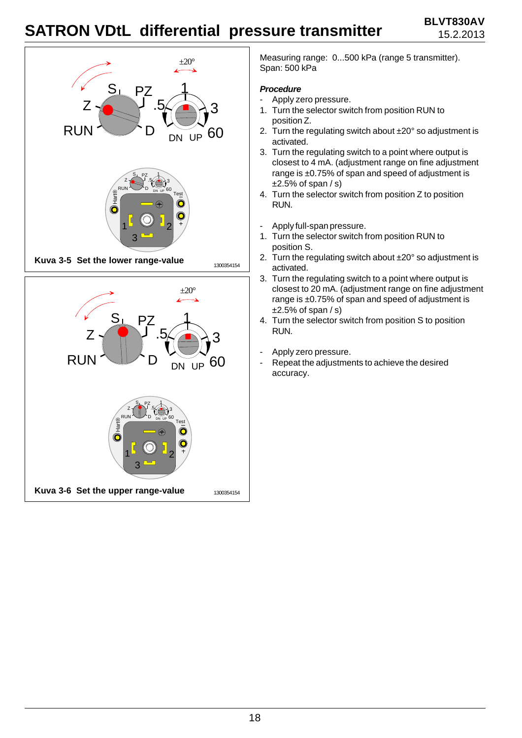



Measuring range: 0...500 kPa (range 5 transmitter). Span: 500 kPa

#### *Procedure*

- Apply zero pressure.
- 1. Turn the selector switch from position RUN to position Z.
- 2. Turn the regulating switch about  $\pm 20^\circ$  so adjustment is activated.
- 3. Turn the regulating switch to a point where output is closest to 4 mA. (adjustment range on fine adjustment range is ±0.75% of span and speed of adjustment is  $\pm 2.5\%$  of span / s)
- 4. Turn the selector switch from position Z to position RUN.
- Apply full-span pressure.
- 1. Turn the selector switch from position RUN to position S.
- 2. Turn the regulating switch about  $\pm 20^\circ$  so adjustment is activated.
- 3. Turn the regulating switch to a point where output is closest to 20 mA. (adjustment range on fine adjustment range is ±0.75% of span and speed of adjustment is  $±2.5%$  of span  $/s$ )
- 4. Turn the selector switch from position S to position RUN.
- Apply zero pressure.
- Repeat the adjustments to achieve the desired accuracy.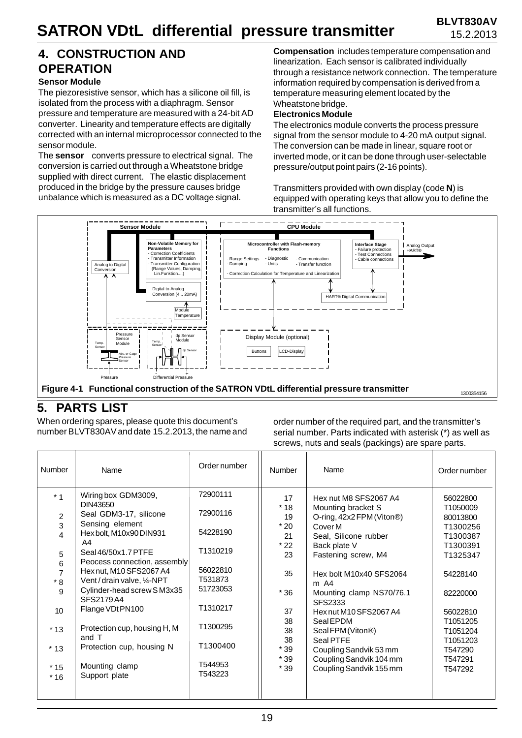### **4. CONSTRUCTION AND OPERATION**

#### **Sensor Module**

The piezoresistive sensor, which has a silicone oil fill, is isolated from the process with a diaphragm. Sensor pressure and temperature are measured with a 24-bit AD converter. Linearity and temperature effects are digitally corrected with an internal microprocessor connected to the sensor module.

The **sensor** converts pressure to electrical signal. The conversion is carried out through a Wheatstone bridge supplied with direct current. The elastic displacement produced in the bridge by the pressure causes bridge unbalance which is measured as a DC voltage signal.

**Compensation** includes temperature compensation and linearization. Each sensor is calibrated individually through a resistance network connection. The temperature information required by compensation is derived from a temperature measuring element located by the Wheatstone bridge.

#### **Electronics Module**

The electronics module converts the process pressure signal from the sensor module to 4-20 mA output signal. The conversion can be made in linear, square root or inverted mode, or it can be done through user-selectable pressure/output point pairs (2-16 points).

Transmitters provided with own display (code **N**) is equipped with operating keys that allow you to define the transmitter's all functions.



### **5. PARTS LIST**

When ordering spares, please quote this document's number BLVT830AV and date 15.2.2013, the name and order number of the required part, and the transmitter's serial number. Parts indicated with asterisk (\*) as well as screws, nuts and seals (packings) are spare parts.

| Number                                                       | Name                                                                                                                                                                                                                                                      | Order number                                                                    | Number                                                         | Name                                                                                                                                                                                                                 | Order number                                                                                             |
|--------------------------------------------------------------|-----------------------------------------------------------------------------------------------------------------------------------------------------------------------------------------------------------------------------------------------------------|---------------------------------------------------------------------------------|----------------------------------------------------------------|----------------------------------------------------------------------------------------------------------------------------------------------------------------------------------------------------------------------|----------------------------------------------------------------------------------------------------------|
| $*1$<br>2<br>3<br>4<br>5<br>6<br>$\overline{7}$<br>$*8$<br>9 | Wiring box GDM3009,<br>DIN43650<br>Seal GDM3-17, silicone<br>Sensing element<br>Hexbolt, M10x90 DIN931<br>A4<br>Seal 46/50x1.7 PTFE<br>Peocess connection, assembly<br>Hex nut, M10 SFS2067 A4<br>Vent/drain valve, 1/4-NPT<br>Cylinder-head screw SM3x35 | 72900111<br>72900116<br>54228190<br>T1310219<br>56022810<br>T531873<br>51723053 | 17<br>$*18$<br>19<br>$*20$<br>21<br>$*22$<br>23<br>35<br>$*36$ | Hex nut M8 SFS2067 A4<br>Mounting bracket S<br>O-ring, 42x2 FPM (Viton®)<br>Cover M<br>Seal, Silicone rubber<br>Back plate V<br>Fastening screw, M4<br>Hex bolt M10x40 SFS2064<br>$m$ A4<br>Mounting clamp NS70/76.1 | 56022800<br>T1050009<br>80013800<br>T1300256<br>T1300387<br>T1300391<br>T1325347<br>54228140<br>82220000 |
| 10 <sup>10</sup>                                             | SFS2179A4<br>Flange VDt PN100                                                                                                                                                                                                                             | T1310217                                                                        | 37<br>38                                                       | SFS2333<br>Hexnut M10 SFS2067 A4<br>Seal EPDM                                                                                                                                                                        | 56022810<br>T1051205                                                                                     |
| $*13$                                                        | Protection cup, housing H, M<br>and T                                                                                                                                                                                                                     | T1300295<br>T1300400                                                            | 38<br>38                                                       | Seal FPM (Viton®)<br>Seal PTFE                                                                                                                                                                                       | T1051204<br>T1051203                                                                                     |
| $*13$<br>$*15$<br>$*16$                                      | Protection cup, housing N<br>Mounting clamp<br>Support plate                                                                                                                                                                                              | T544953<br>T543223                                                              | $*39$<br>$*39$<br>$*39$                                        | Coupling Sandvik 53 mm<br>Coupling Sandvik 104 mm<br>Coupling Sandvik 155 mm                                                                                                                                         | T547290<br>T547291<br>T547292                                                                            |
|                                                              |                                                                                                                                                                                                                                                           |                                                                                 |                                                                |                                                                                                                                                                                                                      |                                                                                                          |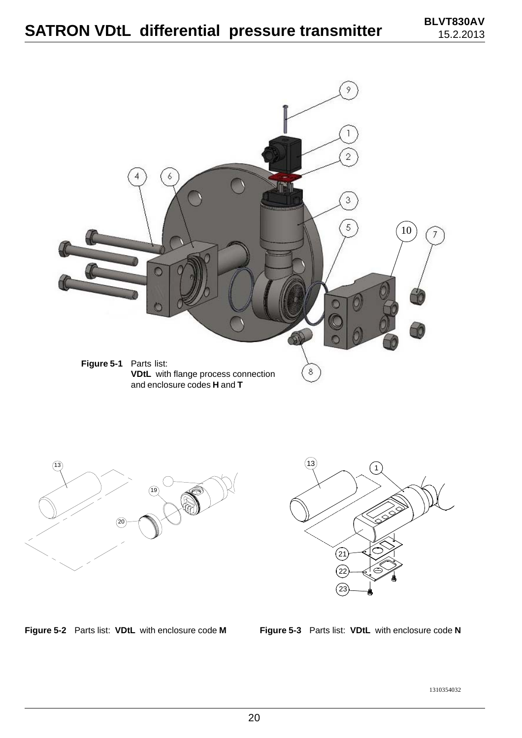





**Figure 5-2** Parts list: **VDtL** with enclosure code **M**

**Figure 5-3** Parts list: **VDtL** with enclosure code **N**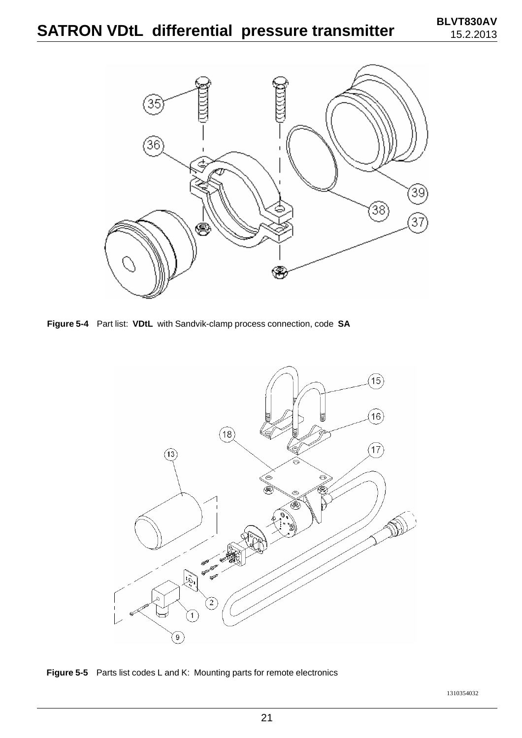

**Figure 5-4** Part list: **VDtL** with Sandvik-clamp process connection, code **SA**



**Figure 5-5** Parts list codes L and K: Mounting parts for remote electronics